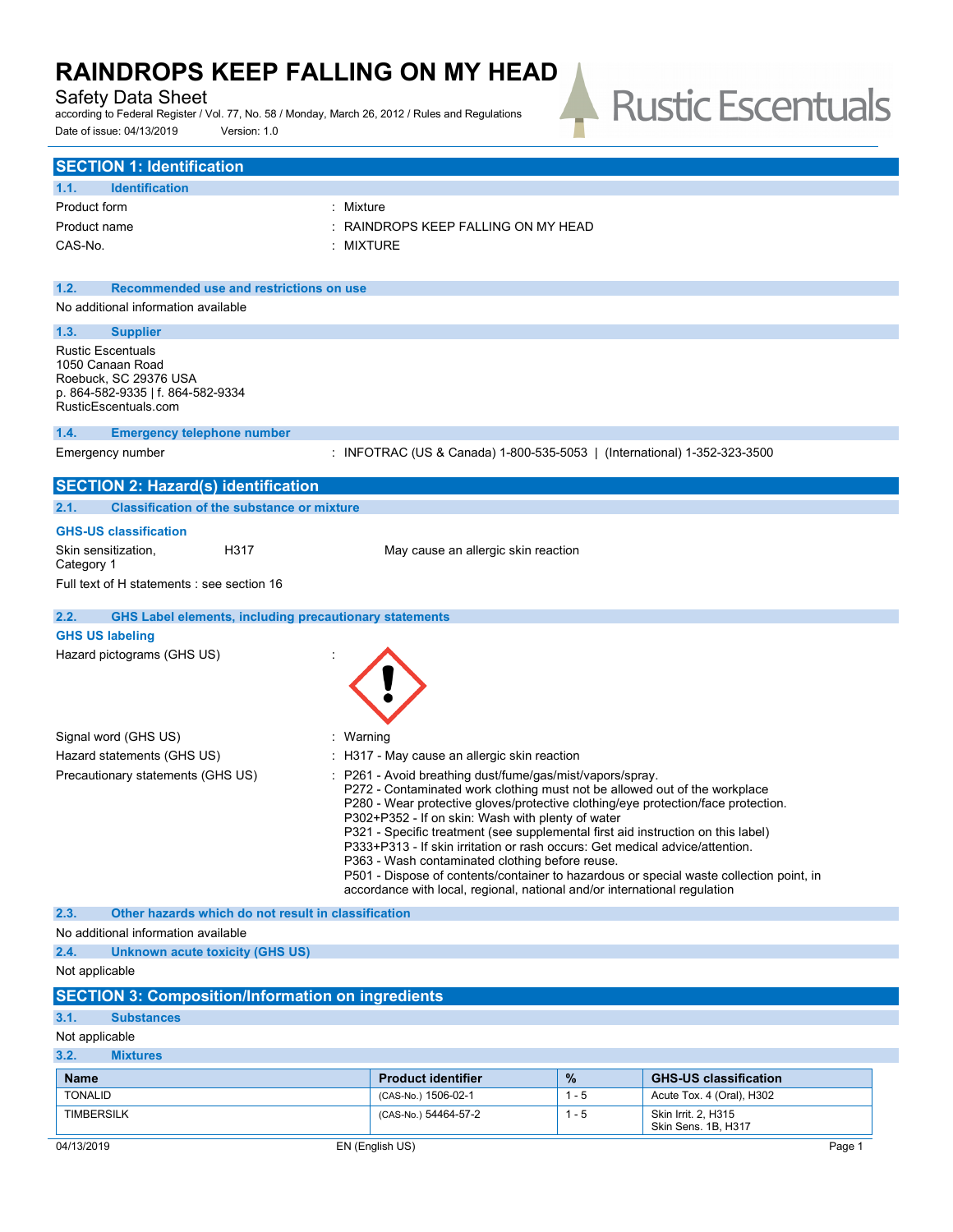### Safety Data Sheet

according to Federal Register / Vol. 77, No. 58 / Monday, March 26, 2012 / Rules and Regulations Date of issue: 04/13/2019 Version: 1.0

# **Rustic Escentuals**  $\overline{\phantom{a}}$

| <b>SECTION 1: Identification</b>                                      |                                                                                                                                                                      |                 |                                                           |
|-----------------------------------------------------------------------|----------------------------------------------------------------------------------------------------------------------------------------------------------------------|-----------------|-----------------------------------------------------------|
| <b>Identification</b><br>1.1.                                         |                                                                                                                                                                      |                 |                                                           |
| Product form<br>: Mixture                                             |                                                                                                                                                                      |                 |                                                           |
| Product name                                                          | RAINDROPS KEEP FALLING ON MY HEAD                                                                                                                                    |                 |                                                           |
| CAS-No.                                                               | : MIXTURE                                                                                                                                                            |                 |                                                           |
|                                                                       |                                                                                                                                                                      |                 |                                                           |
| Recommended use and restrictions on use<br>1.2.                       |                                                                                                                                                                      |                 |                                                           |
| No additional information available                                   |                                                                                                                                                                      |                 |                                                           |
| 1.3.<br><b>Supplier</b>                                               |                                                                                                                                                                      |                 |                                                           |
| <b>Rustic Escentuals</b><br>1050 Canaan Road                          |                                                                                                                                                                      |                 |                                                           |
| Roebuck, SC 29376 USA                                                 |                                                                                                                                                                      |                 |                                                           |
| p. 864-582-9335   f. 864-582-9334                                     |                                                                                                                                                                      |                 |                                                           |
| RusticEscentuals.com                                                  |                                                                                                                                                                      |                 |                                                           |
| 1.4.<br><b>Emergency telephone number</b>                             | : INFOTRAC (US & Canada) 1-800-535-5053   (International) 1-352-323-3500                                                                                             |                 |                                                           |
| Emergency number                                                      |                                                                                                                                                                      |                 |                                                           |
| <b>SECTION 2: Hazard(s) identification</b>                            |                                                                                                                                                                      |                 |                                                           |
| 2.1.<br><b>Classification of the substance or mixture</b>             |                                                                                                                                                                      |                 |                                                           |
| <b>GHS-US classification</b>                                          |                                                                                                                                                                      |                 |                                                           |
| H317<br>Skin sensitization,<br>Category 1                             | May cause an allergic skin reaction                                                                                                                                  |                 |                                                           |
| Full text of H statements : see section 16                            |                                                                                                                                                                      |                 |                                                           |
| 2.2.<br><b>GHS Label elements, including precautionary statements</b> |                                                                                                                                                                      |                 |                                                           |
| <b>GHS US labeling</b>                                                |                                                                                                                                                                      |                 |                                                           |
| Hazard pictograms (GHS US)                                            |                                                                                                                                                                      |                 |                                                           |
|                                                                       |                                                                                                                                                                      |                 |                                                           |
|                                                                       |                                                                                                                                                                      |                 |                                                           |
|                                                                       |                                                                                                                                                                      |                 |                                                           |
| Signal word (GHS US)<br>: Warning                                     |                                                                                                                                                                      |                 |                                                           |
| Hazard statements (GHS US)                                            | $\therefore$ H317 - May cause an allergic skin reaction                                                                                                              |                 |                                                           |
| Precautionary statements (GHS US)                                     | P261 - Avoid breathing dust/fume/gas/mist/vapors/spray.                                                                                                              |                 |                                                           |
|                                                                       | P272 - Contaminated work clothing must not be allowed out of the workplace                                                                                           |                 |                                                           |
|                                                                       | P280 - Wear protective gloves/protective clothing/eye protection/face protection.                                                                                    |                 |                                                           |
|                                                                       | P302+P352 - If on skin: Wash with plenty of water<br>P321 - Specific treatment (see supplemental first aid instruction on this label)                                |                 |                                                           |
|                                                                       | P333+P313 - If skin irritation or rash occurs: Get medical advice/attention.                                                                                         |                 |                                                           |
|                                                                       | P363 - Wash contaminated clothing before reuse.                                                                                                                      |                 |                                                           |
|                                                                       | P501 - Dispose of contents/container to hazardous or special waste collection point, in<br>accordance with local, regional, national and/or international regulation |                 |                                                           |
| 2.3.<br>Other hazards which do not result in classification           |                                                                                                                                                                      |                 |                                                           |
| No additional information available                                   |                                                                                                                                                                      |                 |                                                           |
| 2.4.<br><b>Unknown acute toxicity (GHS US)</b>                        |                                                                                                                                                                      |                 |                                                           |
| Not applicable                                                        |                                                                                                                                                                      |                 |                                                           |
| <b>SECTION 3: Composition/Information on ingredients</b>              |                                                                                                                                                                      |                 |                                                           |
| 3.1.<br><b>Substances</b>                                             |                                                                                                                                                                      |                 |                                                           |
| Not applicable                                                        |                                                                                                                                                                      |                 |                                                           |
| 3.2.<br><b>Mixtures</b>                                               |                                                                                                                                                                      |                 |                                                           |
| <b>Name</b><br><b>TONALID</b>                                         | <b>Product identifier</b><br>(CAS-No.) 1506-02-1                                                                                                                     | $\%$<br>$1 - 5$ | <b>GHS-US classification</b><br>Acute Tox. 4 (Oral), H302 |
|                                                                       |                                                                                                                                                                      |                 |                                                           |

TIMBERSILK (CAS-No.) 54464-57-2 1 - 5 Skin Irrit. 2, H315

Skin Sens. 1B, H317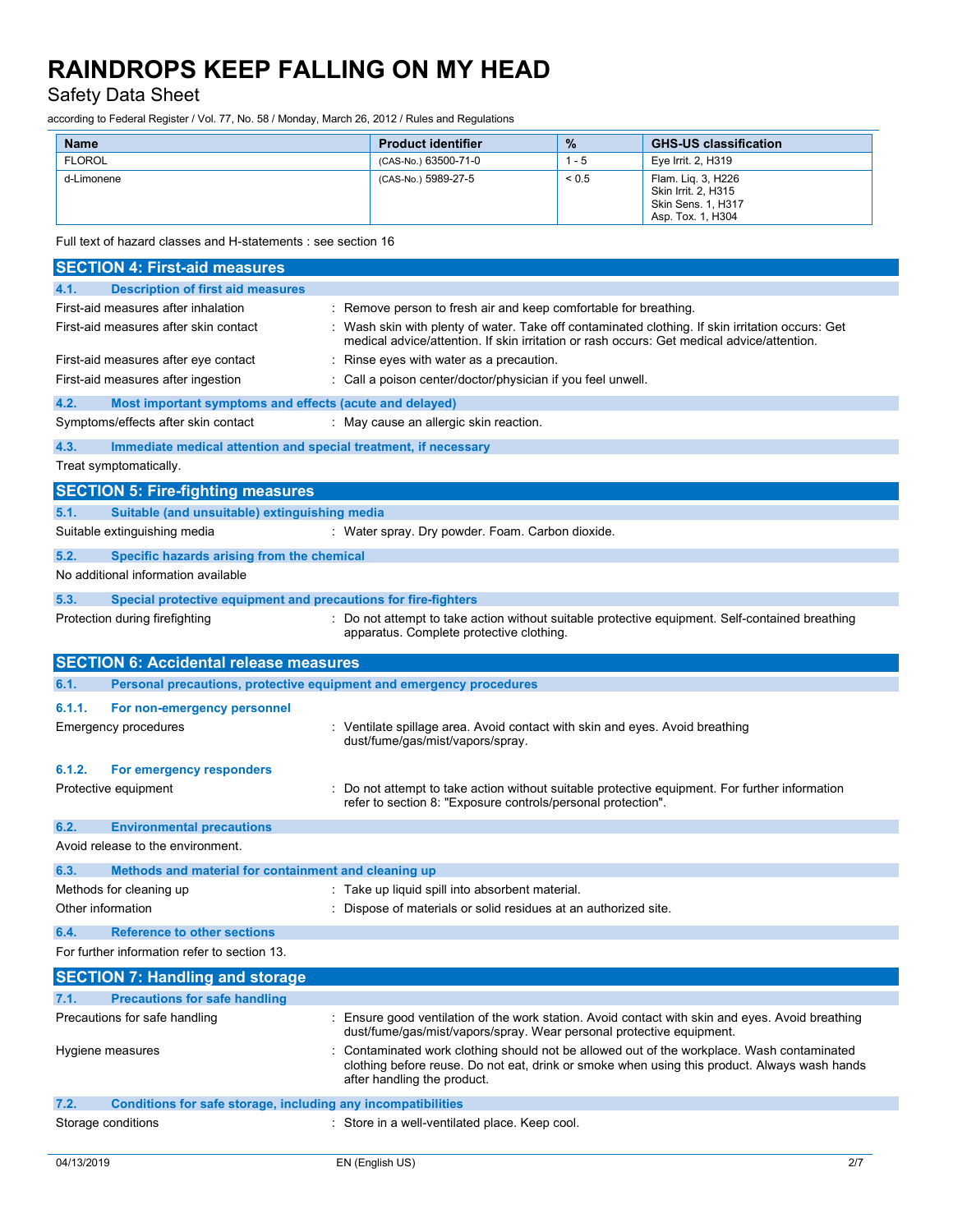### Safety Data Sheet

according to Federal Register / Vol. 77, No. 58 / Monday, March 26, 2012 / Rules and Regulations

| <b>Name</b>   | <b>Product identifier</b> | $\frac{0}{2}$ | <b>GHS-US classification</b>                                                         |
|---------------|---------------------------|---------------|--------------------------------------------------------------------------------------|
| <b>FLOROL</b> | (CAS-No.) 63500-71-0      | l - 5         | Eye Irrit. 2, H319                                                                   |
| d-Limonene    | (CAS-No.) 5989-27-5       | ${}_{0.5}$    | Flam. Lig. 3, H226<br>Skin Irrit, 2, H315<br>Skin Sens. 1, H317<br>Asp. Tox. 1, H304 |

Full text of hazard classes and H-statements : see section 16

| <b>Description of first aid measures</b><br>4.1.<br>First-aid measures after inhalation<br>: Remove person to fresh air and keep comfortable for breathing.<br>First-aid measures after skin contact<br>: Wash skin with plenty of water. Take off contaminated clothing. If skin irritation occurs: Get<br>medical advice/attention. If skin irritation or rash occurs: Get medical advice/attention.<br>Rinse eyes with water as a precaution.<br>First-aid measures after eye contact |  |
|------------------------------------------------------------------------------------------------------------------------------------------------------------------------------------------------------------------------------------------------------------------------------------------------------------------------------------------------------------------------------------------------------------------------------------------------------------------------------------------|--|
|                                                                                                                                                                                                                                                                                                                                                                                                                                                                                          |  |
|                                                                                                                                                                                                                                                                                                                                                                                                                                                                                          |  |
|                                                                                                                                                                                                                                                                                                                                                                                                                                                                                          |  |
|                                                                                                                                                                                                                                                                                                                                                                                                                                                                                          |  |
| First-aid measures after ingestion<br>: Call a poison center/doctor/physician if you feel unwell.                                                                                                                                                                                                                                                                                                                                                                                        |  |
| 4.2.<br>Most important symptoms and effects (acute and delayed)                                                                                                                                                                                                                                                                                                                                                                                                                          |  |
| Symptoms/effects after skin contact<br>: May cause an allergic skin reaction.                                                                                                                                                                                                                                                                                                                                                                                                            |  |
| 4.3.<br>Immediate medical attention and special treatment, if necessary                                                                                                                                                                                                                                                                                                                                                                                                                  |  |
| Treat symptomatically.                                                                                                                                                                                                                                                                                                                                                                                                                                                                   |  |
| <b>SECTION 5: Fire-fighting measures</b>                                                                                                                                                                                                                                                                                                                                                                                                                                                 |  |
| Suitable (and unsuitable) extinguishing media<br>5.1.                                                                                                                                                                                                                                                                                                                                                                                                                                    |  |
| Suitable extinguishing media<br>: Water spray. Dry powder. Foam. Carbon dioxide.                                                                                                                                                                                                                                                                                                                                                                                                         |  |
| 5.2.<br>Specific hazards arising from the chemical                                                                                                                                                                                                                                                                                                                                                                                                                                       |  |
| No additional information available                                                                                                                                                                                                                                                                                                                                                                                                                                                      |  |
| 5.3.<br>Special protective equipment and precautions for fire-fighters                                                                                                                                                                                                                                                                                                                                                                                                                   |  |
| : Do not attempt to take action without suitable protective equipment. Self-contained breathing<br>Protection during firefighting                                                                                                                                                                                                                                                                                                                                                        |  |
| apparatus. Complete protective clothing.                                                                                                                                                                                                                                                                                                                                                                                                                                                 |  |
| <b>SECTION 6: Accidental release measures</b>                                                                                                                                                                                                                                                                                                                                                                                                                                            |  |
| 6.1.<br>Personal precautions, protective equipment and emergency procedures                                                                                                                                                                                                                                                                                                                                                                                                              |  |
| 6.1.1.<br>For non-emergency personnel                                                                                                                                                                                                                                                                                                                                                                                                                                                    |  |
| : Ventilate spillage area. Avoid contact with skin and eyes. Avoid breathing<br>Emergency procedures                                                                                                                                                                                                                                                                                                                                                                                     |  |
| dust/fume/gas/mist/vapors/spray.                                                                                                                                                                                                                                                                                                                                                                                                                                                         |  |
| 6.1.2.<br>For emergency responders                                                                                                                                                                                                                                                                                                                                                                                                                                                       |  |
| Protective equipment<br>Do not attempt to take action without suitable protective equipment. For further information<br>refer to section 8: "Exposure controls/personal protection".                                                                                                                                                                                                                                                                                                     |  |
| 6.2.<br><b>Environmental precautions</b>                                                                                                                                                                                                                                                                                                                                                                                                                                                 |  |
| Avoid release to the environment.                                                                                                                                                                                                                                                                                                                                                                                                                                                        |  |
| 6.3.<br>Methods and material for containment and cleaning up                                                                                                                                                                                                                                                                                                                                                                                                                             |  |
| Methods for cleaning up<br>: Take up liquid spill into absorbent material.                                                                                                                                                                                                                                                                                                                                                                                                               |  |
| Other information<br>: Dispose of materials or solid residues at an authorized site.                                                                                                                                                                                                                                                                                                                                                                                                     |  |
| 6.4.<br><b>Reference to other sections</b>                                                                                                                                                                                                                                                                                                                                                                                                                                               |  |
| For further information refer to section 13.                                                                                                                                                                                                                                                                                                                                                                                                                                             |  |
| <b>SECTION 7: Handling and storage</b>                                                                                                                                                                                                                                                                                                                                                                                                                                                   |  |
| <b>Precautions for safe handling</b><br>7.1.                                                                                                                                                                                                                                                                                                                                                                                                                                             |  |
| Precautions for safe handling<br>: Ensure good ventilation of the work station. Avoid contact with skin and eyes. Avoid breathing<br>dust/fume/gas/mist/vapors/spray. Wear personal protective equipment.                                                                                                                                                                                                                                                                                |  |
| Contaminated work clothing should not be allowed out of the workplace. Wash contaminated<br>Hygiene measures<br>clothing before reuse. Do not eat, drink or smoke when using this product. Always wash hands                                                                                                                                                                                                                                                                             |  |
| after handling the product.                                                                                                                                                                                                                                                                                                                                                                                                                                                              |  |
| Conditions for safe storage, including any incompatibilities<br>7.2.                                                                                                                                                                                                                                                                                                                                                                                                                     |  |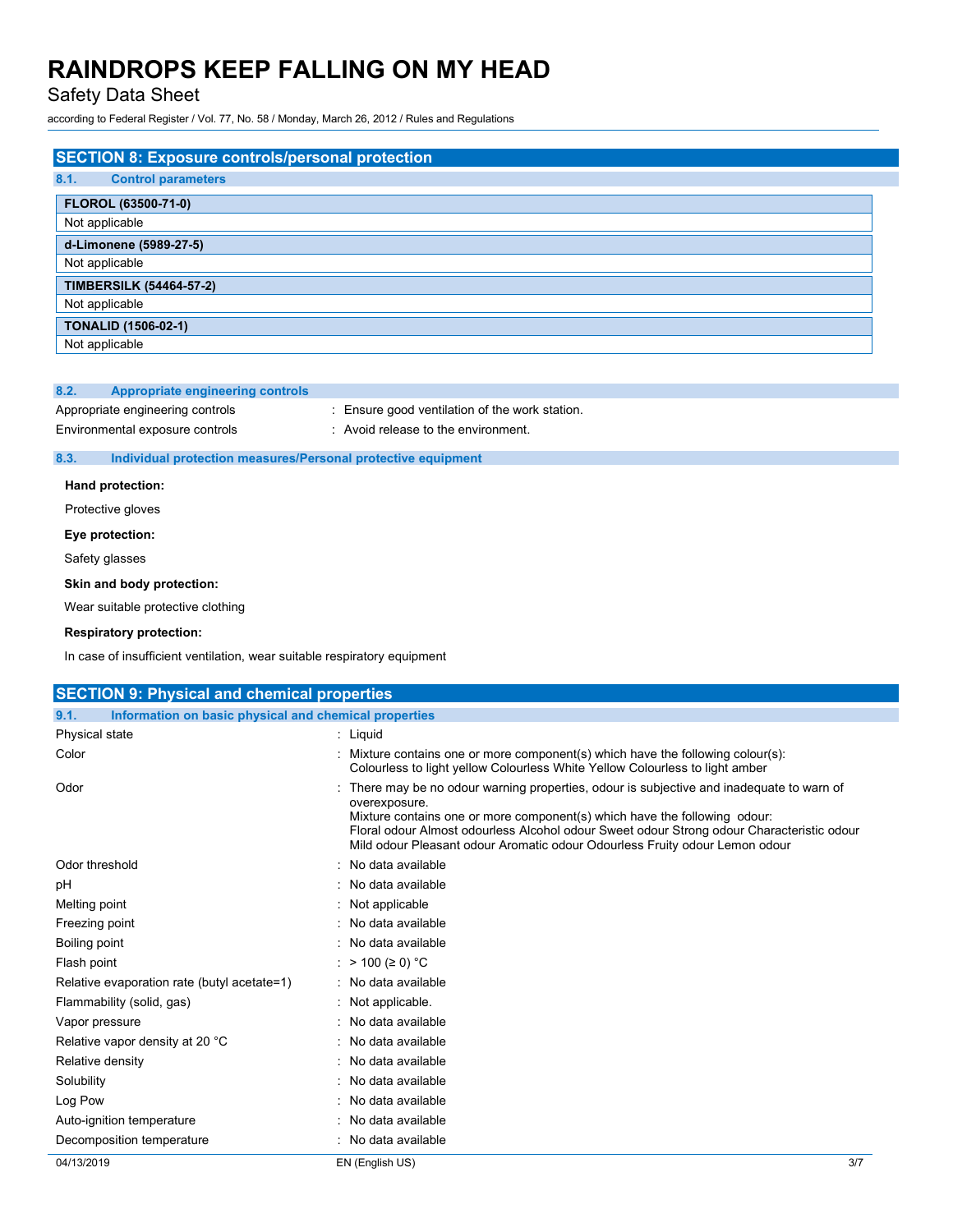### Safety Data Sheet

according to Federal Register / Vol. 77, No. 58 / Monday, March 26, 2012 / Rules and Regulations

| <b>SECTION 8: Exposure controls/personal protection</b> |
|---------------------------------------------------------|
| 8.1.<br><b>Control parameters</b>                       |
| FLOROL (63500-71-0)                                     |
| Not applicable                                          |
| d-Limonene (5989-27-5)                                  |
| Not applicable                                          |
| <b>TIMBERSILK (54464-57-2)</b>                          |
| Not applicable                                          |
| <b>TONALID (1506-02-1)</b>                              |
| Not applicable                                          |

#### **8.2. Appropriate engineering controls**

Appropriate engineering controls : Ensure good ventilation of the work station.

Environmental exposure controls : Avoid release to the environment.

#### **8.3. Individual protection measures/Personal protective equipment**

**Hand protection:**

# Protective gloves

**Eye protection:**

Safety glasses

#### **Skin and body protection:**

Wear suitable protective clothing

#### **Respiratory protection:**

In case of insufficient ventilation, wear suitable respiratory equipment

| <b>SECTION 9: Physical and chemical properties</b>            |                                                                                                                                                                                                                                                                                                                                                                     |
|---------------------------------------------------------------|---------------------------------------------------------------------------------------------------------------------------------------------------------------------------------------------------------------------------------------------------------------------------------------------------------------------------------------------------------------------|
| 9.1.<br>Information on basic physical and chemical properties |                                                                                                                                                                                                                                                                                                                                                                     |
| Physical state                                                | : Liquid                                                                                                                                                                                                                                                                                                                                                            |
| Color                                                         | : Mixture contains one or more component(s) which have the following colour(s):<br>Colourless to light yellow Colourless White Yellow Colourless to light amber                                                                                                                                                                                                     |
| Odor                                                          | : There may be no odour warning properties, odour is subjective and inadequate to warn of<br>overexposure.<br>Mixture contains one or more component(s) which have the following odour:<br>Floral odour Almost odourless Alcohol odour Sweet odour Strong odour Characteristic odour<br>Mild odour Pleasant odour Aromatic odour Odourless Fruity odour Lemon odour |
| Odor threshold                                                | : No data available                                                                                                                                                                                                                                                                                                                                                 |
| pH                                                            | : No data available                                                                                                                                                                                                                                                                                                                                                 |
| Melting point                                                 | : Not applicable                                                                                                                                                                                                                                                                                                                                                    |
| Freezing point                                                | : No data available                                                                                                                                                                                                                                                                                                                                                 |
| Boiling point                                                 | : No data available                                                                                                                                                                                                                                                                                                                                                 |
| Flash point                                                   | : > 100 (≥ 0) °C                                                                                                                                                                                                                                                                                                                                                    |
| Relative evaporation rate (butyl acetate=1)                   | : No data available                                                                                                                                                                                                                                                                                                                                                 |
| Flammability (solid, gas)                                     | : Not applicable.                                                                                                                                                                                                                                                                                                                                                   |
| Vapor pressure                                                | : No data available                                                                                                                                                                                                                                                                                                                                                 |
| Relative vapor density at 20 °C                               | : No data available                                                                                                                                                                                                                                                                                                                                                 |
| Relative density                                              | : No data available                                                                                                                                                                                                                                                                                                                                                 |
| Solubility                                                    | : No data available                                                                                                                                                                                                                                                                                                                                                 |
| Log Pow                                                       | : No data available                                                                                                                                                                                                                                                                                                                                                 |
| Auto-ignition temperature                                     | : No data available                                                                                                                                                                                                                                                                                                                                                 |
| Decomposition temperature                                     | : No data available                                                                                                                                                                                                                                                                                                                                                 |
| 04/13/2019                                                    | 3/7<br>EN (English US)                                                                                                                                                                                                                                                                                                                                              |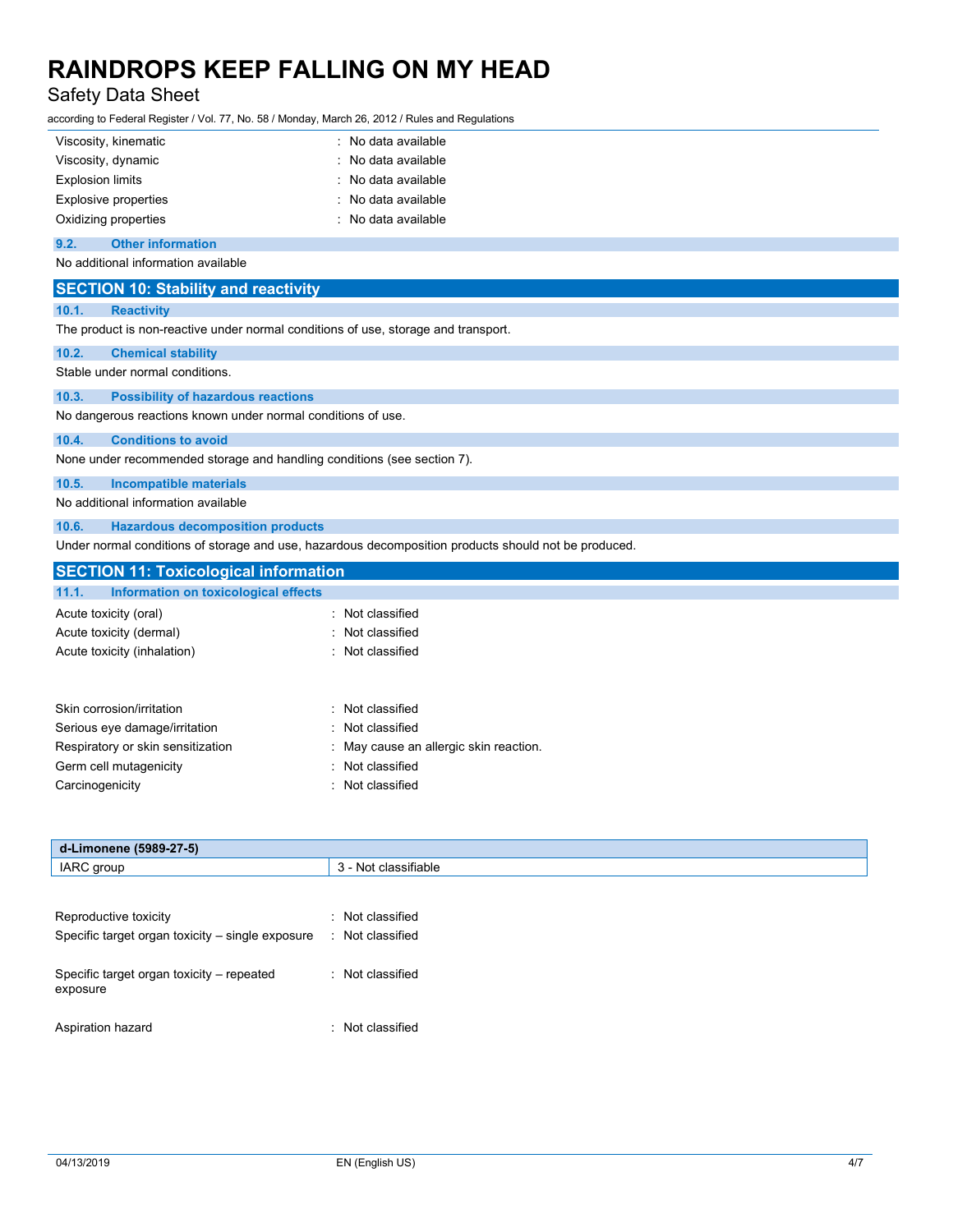# Safety Data Sheet

according to Federal Register / Vol. 77, No. 58 / Monday, March 26, 2012 / Rules and Regulations

|       | Viscosity, kinematic                                                               | : No data available                                                                                  |  |
|-------|------------------------------------------------------------------------------------|------------------------------------------------------------------------------------------------------|--|
|       | Viscosity, dynamic<br>: No data available                                          |                                                                                                      |  |
|       | <b>Explosion limits</b><br>No data available                                       |                                                                                                      |  |
|       | <b>Explosive properties</b>                                                        | No data available                                                                                    |  |
|       | Oxidizing properties                                                               | : No data available                                                                                  |  |
| 9.2.  | <b>Other information</b>                                                           |                                                                                                      |  |
|       | No additional information available                                                |                                                                                                      |  |
|       | <b>SECTION 10: Stability and reactivity</b>                                        |                                                                                                      |  |
| 10.1. | <b>Reactivity</b>                                                                  |                                                                                                      |  |
|       | The product is non-reactive under normal conditions of use, storage and transport. |                                                                                                      |  |
| 10.2. | <b>Chemical stability</b>                                                          |                                                                                                      |  |
|       | Stable under normal conditions.                                                    |                                                                                                      |  |
| 10.3. | <b>Possibility of hazardous reactions</b>                                          |                                                                                                      |  |
|       | No dangerous reactions known under normal conditions of use.                       |                                                                                                      |  |
| 10.4. | <b>Conditions to avoid</b>                                                         |                                                                                                      |  |
|       | None under recommended storage and handling conditions (see section 7).            |                                                                                                      |  |
| 10.5. | <b>Incompatible materials</b>                                                      |                                                                                                      |  |
|       | No additional information available                                                |                                                                                                      |  |
| 10.6. | <b>Hazardous decomposition products</b>                                            |                                                                                                      |  |
|       |                                                                                    | Under normal conditions of storage and use, hazardous decomposition products should not be produced. |  |
|       | <b>SECTION 11: Toxicological information</b>                                       |                                                                                                      |  |
| 11.1. | Information on toxicological effects                                               |                                                                                                      |  |
|       | Acute toxicity (oral)                                                              | : Not classified                                                                                     |  |
|       | Acute toxicity (dermal)                                                            | Not classified                                                                                       |  |
|       | Acute toxicity (inhalation)                                                        | : Not classified                                                                                     |  |
|       | Skin corrosion/irritation                                                          | Not classified                                                                                       |  |
|       | Serious eye damage/irritation                                                      | Not classified                                                                                       |  |
|       | Respiratory or skin sensitization                                                  | : May cause an allergic skin reaction.                                                               |  |

Germ cell mutagenicity **Second Contract Contract Contract Contract Contract Contract Contract Contract Contract Contract Contract Contract Contract Contract Contract Contract Contract Contract Contract Contract Contract Co** 

Carcinogenicity **Carcinogenicity Carcinogenicity Carcinogenicity Carcial Carcinogenicity** 

| d-Limonene (5989-27-5)                                |                      |
|-------------------------------------------------------|----------------------|
| IARC group                                            | 3 - Not classifiable |
|                                                       |                      |
| Reproductive toxicity                                 | : Not classified     |
| Specific target organ toxicity – single exposure      | : Not classified     |
| Specific target organ toxicity – repeated<br>exposure | : Not classified     |
| Aspiration hazard                                     | : Not classified     |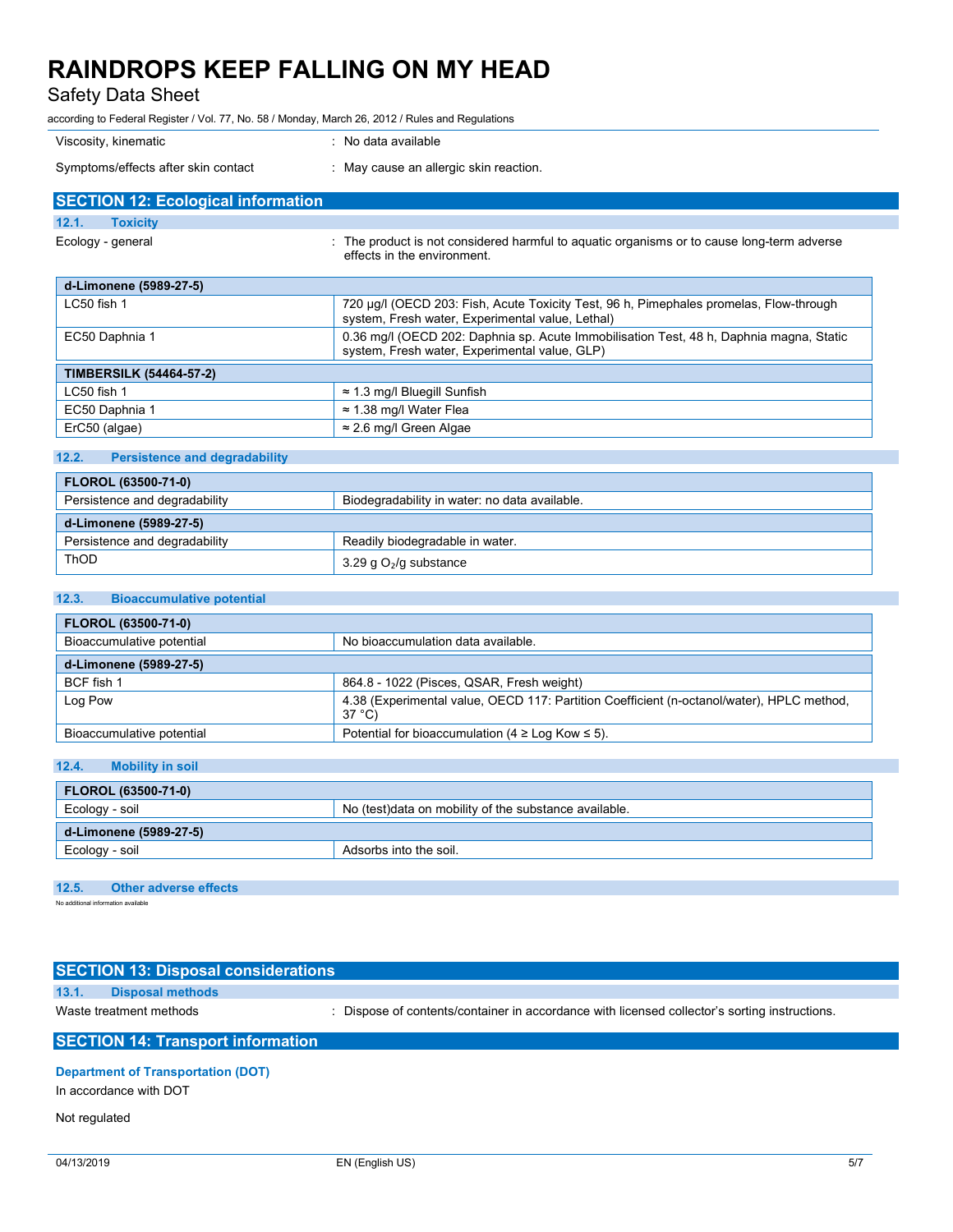Safety Data Sheet

according to Federal Register / Vol. 77, No. 58 / Monday, March 26, 2012 / Rules and Regulations

| Viscosity, kinematic                      | : No data available                                                                                                       |
|-------------------------------------------|---------------------------------------------------------------------------------------------------------------------------|
| Symptoms/effects after skin contact       | : May cause an allergic skin reaction.                                                                                    |
| <b>SECTION 12: Ecological information</b> |                                                                                                                           |
| 12.1.<br><b>Toxicity</b>                  |                                                                                                                           |
| Ecology - general                         | : The product is not considered harmful to aquatic organisms or to cause long-term adverse<br>effects in the environment. |

| d-Limonene (5989-27-5)         |                                                                                                                                            |  |
|--------------------------------|--------------------------------------------------------------------------------------------------------------------------------------------|--|
| $LC50$ fish 1                  | 720 µg/l (OECD 203: Fish, Acute Toxicity Test, 96 h, Pimephales promelas, Flow-through<br>system, Fresh water, Experimental value, Lethal) |  |
| EC50 Daphnia 1                 | 0.36 mg/l (OECD 202: Daphnia sp. Acute Immobilisation Test, 48 h, Daphnia magna, Static<br>system, Fresh water, Experimental value, GLP)   |  |
| <b>TIMBERSILK (54464-57-2)</b> |                                                                                                                                            |  |
| $LC50$ fish 1                  | $\approx$ 1.3 mg/l Bluegill Sunfish                                                                                                        |  |
| EC50 Daphnia 1                 | $\approx$ 1.38 mg/l Water Flea                                                                                                             |  |
| ErC50 (algae)                  | $\approx$ 2.6 mg/l Green Algae                                                                                                             |  |

### **12.2. Persistence and degradability**

| <b>FLOROL (63500-71-0)</b>    |                                               |  |
|-------------------------------|-----------------------------------------------|--|
| Persistence and degradability | Biodegradability in water: no data available. |  |
| d-Limonene (5989-27-5)        |                                               |  |
| Persistence and degradability | Readily biodegradable in water.               |  |
| ThOD                          | 3.29 g $O2/g$ substance                       |  |

### **12.3. Bioaccumulative potential**

| <b>FLOROL (63500-71-0)</b> |                                                                                                     |  |
|----------------------------|-----------------------------------------------------------------------------------------------------|--|
| Bioaccumulative potential  | No bioaccumulation data available.                                                                  |  |
| d-Limonene (5989-27-5)     |                                                                                                     |  |
| BCF fish 1                 | 864.8 - 1022 (Pisces, QSAR, Fresh weight)                                                           |  |
| Log Pow                    | 4.38 (Experimental value, OECD 117: Partition Coefficient (n-octanol/water), HPLC method,<br>37 °C) |  |
| Bioaccumulative potential  | Potential for bioaccumulation (4 $\geq$ Log Kow $\leq$ 5).                                          |  |

### **12.4. Mobility in soil**

| <b>FLOROL (63500-71-0)</b> |                                                        |  |
|----------------------------|--------------------------------------------------------|--|
| Ecology - soil             | No (test) data on mobility of the substance available. |  |
| d-Limonene (5989-27-5)     |                                                        |  |
| ' Ecology - soil           | Adsorbs into the soil.                                 |  |

#### **12.5. Other adverse effects**

No additional information available

|                                          | <b>SECTION 13: Disposal considerations</b> |                                                                                               |
|------------------------------------------|--------------------------------------------|-----------------------------------------------------------------------------------------------|
| 13.1.                                    | <b>Disposal methods</b>                    |                                                                                               |
| Waste treatment methods                  |                                            | : Dispose of contents/container in accordance with licensed collector's sorting instructions. |
| <b>SECTION 14: Transport information</b> |                                            |                                                                                               |
|                                          |                                            |                                                                                               |

#### **Department of Transportation (DOT)**

In accordance with DOT

#### Not regulated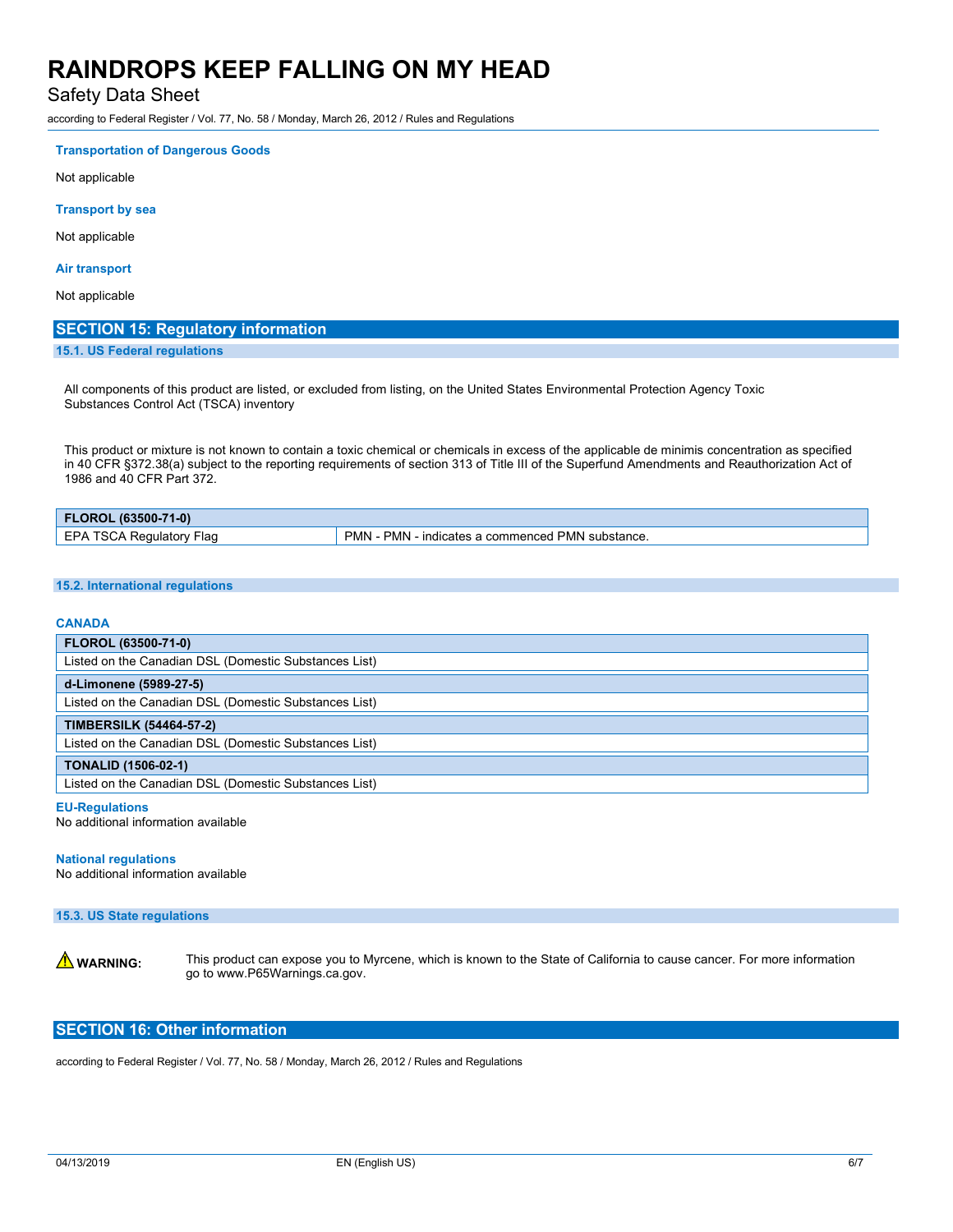Safety Data Sheet

according to Federal Register / Vol. 77, No. 58 / Monday, March 26, 2012 / Rules and Regulations

#### **Transportation of Dangerous Goods**

Not applicable

#### **Transport by sea**

Not applicable

#### **Air transport**

Not applicable

#### **SECTION 15: Regulatory information**

**15.1. US Federal regulations**

All components of this product are listed, or excluded from listing, on the United States Environmental Protection Agency Toxic Substances Control Act (TSCA) inventory

This product or mixture is not known to contain a toxic chemical or chemicals in excess of the applicable de minimis concentration as specified in 40 CFR §372.38(a) subject to the reporting requirements of section 313 of Title III of the Superfund Amendments and Reauthorization Act of 1986 and 40 CFR Part 372.

| FLOROL (63500-71-0)                     |                                                                                      |  |
|-----------------------------------------|--------------------------------------------------------------------------------------|--|
| <b>CDA</b><br>ЗC.<br>-lao<br>Regulatory | <b>PMN</b><br><b>1 PMN substance.</b><br>PMN -<br>'cates a<br>a commenced l<br>'ndit |  |

#### **15.2. International regulations**

#### **CANADA**

| <b>FLOROL (63500-71-0)</b>                            |  |  |
|-------------------------------------------------------|--|--|
| Listed on the Canadian DSL (Domestic Substances List) |  |  |
| d-Limonene (5989-27-5)                                |  |  |
| Listed on the Canadian DSL (Domestic Substances List) |  |  |
| <b>TIMBERSILK (54464-57-2)</b>                        |  |  |
| Listed on the Canadian DSL (Domestic Substances List) |  |  |
| <b>TONALID (1506-02-1)</b>                            |  |  |
| Listed on the Canadian DSL (Domestic Substances List) |  |  |

#### **EU-Regulations**

No additional information available

#### **National regulations**

No additional information available

#### **15.3. US State regulations**

**A WARNING:** This product can expose you to Myrcene, which is known to the State of California to cause cancer. For more information go to www.P65Warnings.ca.gov.

### **SECTION 16: Other information**

according to Federal Register / Vol. 77, No. 58 / Monday, March 26, 2012 / Rules and Regulations